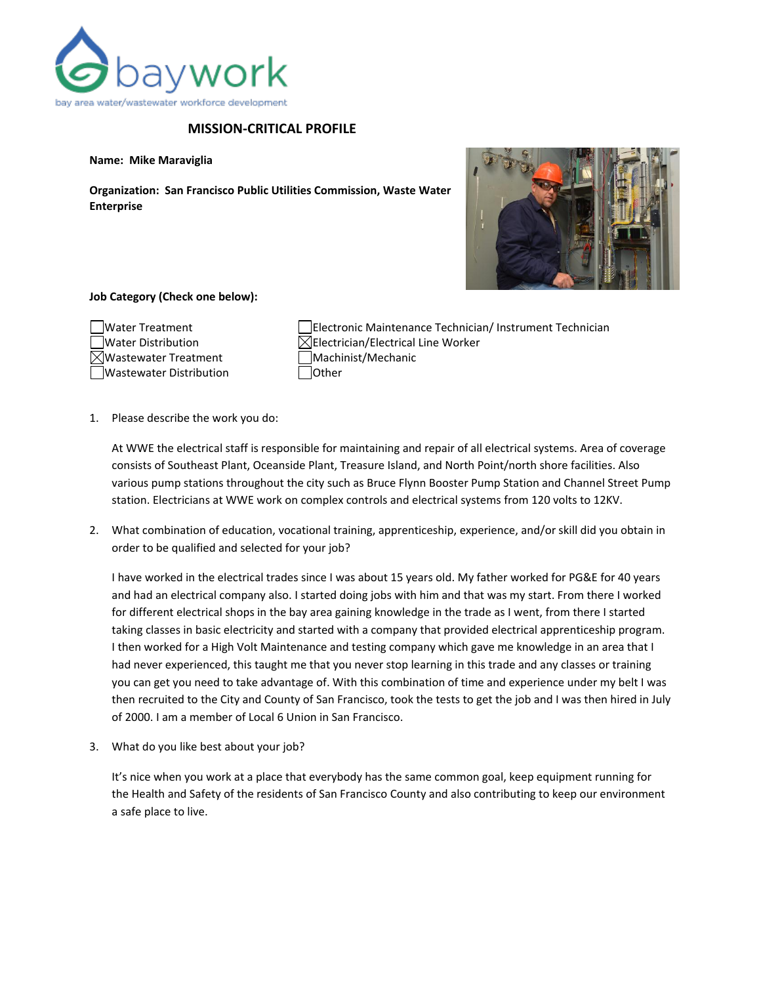

## **MISSION-CRITICAL PROFILE**

**Name: Mike Maraviglia**

**Organization: San Francisco Public Utilities Commission, Waste Water Enterprise**



## **Job Category (Check one below):**

| Water Treatment                  |
|----------------------------------|
| Water Distribution               |
| $\boxtimes$ Wastewater Treatment |
| Wastewater Distribution          |

Electronic Maintenance Technician/ Instrument Technician  $\boxtimes$ Electrician/Electrical Line Worker Machinist/Mechanic **Tother** 

1. Please describe the work you do:

At WWE the electrical staff is responsible for maintaining and repair of all electrical systems. Area of coverage consists of Southeast Plant, Oceanside Plant, Treasure Island, and North Point/north shore facilities. Also various pump stations throughout the city such as Bruce Flynn Booster Pump Station and Channel Street Pump station. Electricians at WWE work on complex controls and electrical systems from 120 volts to 12KV.

2. What combination of education, vocational training, apprenticeship, experience, and/or skill did you obtain in order to be qualified and selected for your job?

I have worked in the electrical trades since I was about 15 years old. My father worked for PG&E for 40 years and had an electrical company also. I started doing jobs with him and that was my start. From there I worked for different electrical shops in the bay area gaining knowledge in the trade as I went, from there I started taking classes in basic electricity and started with a company that provided electrical apprenticeship program. I then worked for a High Volt Maintenance and testing company which gave me knowledge in an area that I had never experienced, this taught me that you never stop learning in this trade and any classes or training you can get you need to take advantage of. With this combination of time and experience under my belt I was then recruited to the City and County of San Francisco, took the tests to get the job and I was then hired in July of 2000. I am a member of Local 6 Union in San Francisco.

3. What do you like best about your job?

It's nice when you work at a place that everybody has the same common goal, keep equipment running for the Health and Safety of the residents of San Francisco County and also contributing to keep our environment a safe place to live.